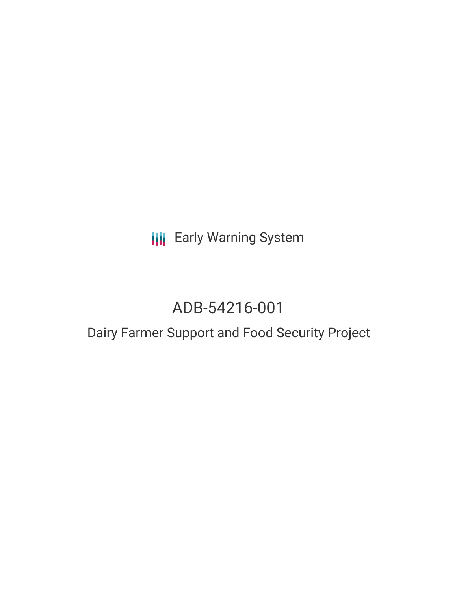**III** Early Warning System

## ADB-54216-001

## Dairy Farmer Support and Food Security Project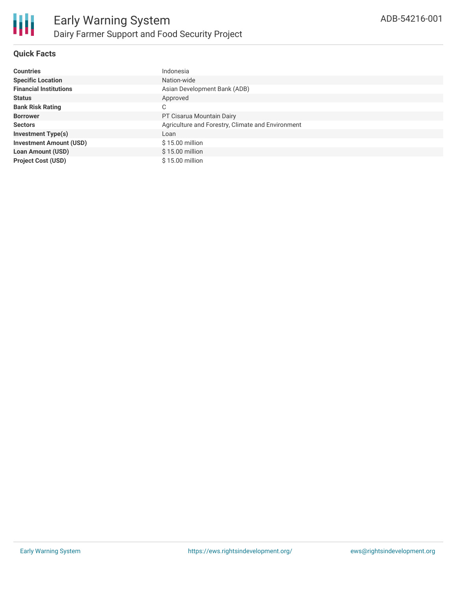

### **Quick Facts**

| <b>Countries</b>               | Indonesia                                         |  |  |  |
|--------------------------------|---------------------------------------------------|--|--|--|
| <b>Specific Location</b>       | Nation-wide                                       |  |  |  |
| <b>Financial Institutions</b>  | Asian Development Bank (ADB)                      |  |  |  |
| <b>Status</b>                  | Approved                                          |  |  |  |
| <b>Bank Risk Rating</b>        | С                                                 |  |  |  |
| <b>Borrower</b>                | PT Cisarua Mountain Dairy                         |  |  |  |
| <b>Sectors</b>                 | Agriculture and Forestry, Climate and Environment |  |  |  |
| <b>Investment Type(s)</b>      | Loan                                              |  |  |  |
| <b>Investment Amount (USD)</b> | \$15.00 million                                   |  |  |  |
| <b>Loan Amount (USD)</b>       | $$15.00$ million                                  |  |  |  |
| <b>Project Cost (USD)</b>      | \$15.00 million                                   |  |  |  |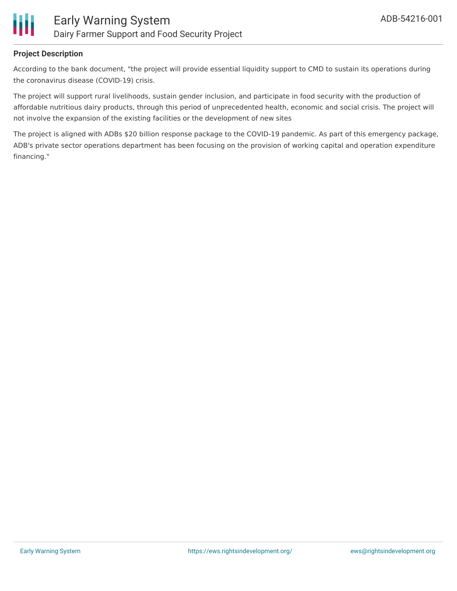

### **Project Description**

According to the bank document, "the project will provide essential liquidity support to CMD to sustain its operations during the coronavirus disease (COVID-19) crisis.

The project will support rural livelihoods, sustain gender inclusion, and participate in food security with the production of affordable nutritious dairy products, through this period of unprecedented health, economic and social crisis. The project will not involve the expansion of the existing facilities or the development of new sites

The project is aligned with ADBs \$20 billion response package to the COVID-19 pandemic. As part of this emergency package, ADB's private sector operations department has been focusing on the provision of working capital and operation expenditure financing."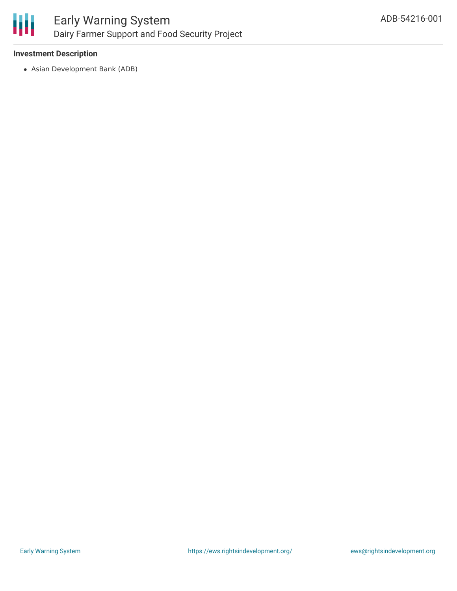

### Early Warning System Dairy Farmer Support and Food Security Project

### **Investment Description**

Asian Development Bank (ADB)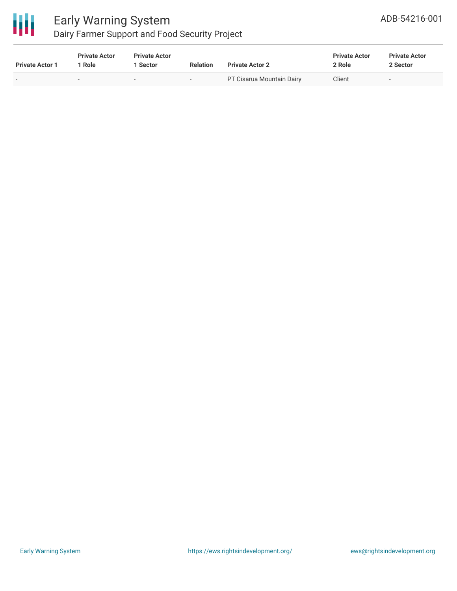

# Early Warning System

### Dairy Farmer Support and Food Security Project

| <b>Private Actor 1</b> | <b>Private Actor</b><br>' Role | <b>Private Actor</b><br>1 Sector | <b>Relation</b> | <b>Private Actor 2</b>    | <b>Private Actor</b><br>2 Role | <b>Private Actor</b><br>2 Sector |  |
|------------------------|--------------------------------|----------------------------------|-----------------|---------------------------|--------------------------------|----------------------------------|--|
|                        | $\sim$                         | $\overline{\phantom{a}}$         | $\sim$          | PT Cisarua Mountain Dairy | Client                         | $\overline{\phantom{a}}$         |  |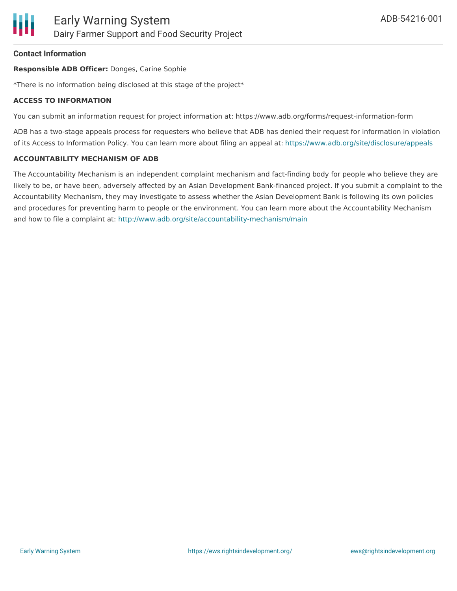### **Contact Information**

#### **Responsible ADB Officer:** Donges, Carine Sophie

\*There is no information being disclosed at this stage of the project\*

#### **ACCESS TO INFORMATION**

You can submit an information request for project information at: https://www.adb.org/forms/request-information-form

ADB has a two-stage appeals process for requesters who believe that ADB has denied their request for information in violation of its Access to Information Policy. You can learn more about filing an appeal at: <https://www.adb.org/site/disclosure/appeals>

#### **ACCOUNTABILITY MECHANISM OF ADB**

The Accountability Mechanism is an independent complaint mechanism and fact-finding body for people who believe they are likely to be, or have been, adversely affected by an Asian Development Bank-financed project. If you submit a complaint to the Accountability Mechanism, they may investigate to assess whether the Asian Development Bank is following its own policies and procedures for preventing harm to people or the environment. You can learn more about the Accountability Mechanism and how to file a complaint at: <http://www.adb.org/site/accountability-mechanism/main>